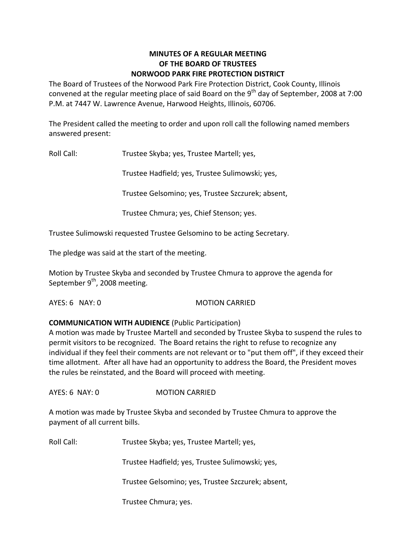### **MINUTES OF A REGULAR MEETING OF THE BOARD OF TRUSTEES NORWOOD PARK FIRE PROTECTION DISTRICT**

The Board of Trustees of the Norwood Park Fire Protection District, Cook County, Illinois convened at the regular meeting place of said Board on the 9<sup>th</sup> day of September, 2008 at 7:00 P.M. at 7447 W. Lawrence Avenue, Harwood Heights, Illinois, 60706.

The President called the meeting to order and upon roll call the following named members answered present:

Roll Call: Trustee Skyba; yes, Trustee Martell; yes,

Trustee Hadfield; yes, Trustee Sulimowski; yes,

Trustee Gelsomino; yes, Trustee Szczurek; absent,

Trustee Chmura; yes, Chief Stenson; yes.

Trustee Sulimowski requested Trustee Gelsomino to be acting Secretary.

The pledge was said at the start of the meeting.

Motion by Trustee Skyba and seconded by Trustee Chmura to approve the agenda for September 9<sup>th</sup>, 2008 meeting.

#### AYES: 6 NAY: 0 MOTION CARRIED

### **COMMUNICATION WITH AUDIENCE** (Public Participation)

A motion was made by Trustee Martell and seconded by Trustee Skyba to suspend the rules to permit visitors to be recognized. The Board retains the right to refuse to recognize any individual if they feel their comments are not relevant or to "put them off", if they exceed their time allotment. After all have had an opportunity to address the Board, the President moves the rules be reinstated, and the Board will proceed with meeting.

AYES: 6 NAY: 0 **MOTION CARRIED** 

A motion was made by Trustee Skyba and seconded by Trustee Chmura to approve the payment of all current bills.

Roll Call: Trustee Skyba; yes, Trustee Martell; yes,

Trustee Hadfield; yes, Trustee Sulimowski; yes,

Trustee Gelsomino; yes, Trustee Szczurek; absent,

Trustee Chmura; yes.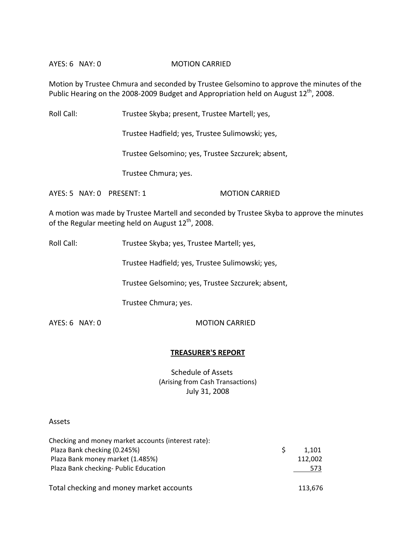#### AYES: 6 NAY: 0 **MOTION CARRIED**

Motion by Trustee Chmura and seconded by Trustee Gelsomino to approve the minutes of the Public Hearing on the 2008-2009 Budget and Appropriation held on August  $12^{th}$ , 2008.

Roll Call: Trustee Skyba; present, Trustee Martell; yes,

Trustee Hadfield; yes, Trustee Sulimowski; yes,

Trustee Gelsomino; yes, Trustee Szczurek; absent,

Trustee Chmura; yes.

AYES: 5 NAY: 0 PRESENT: 1 MOTION CARRIED

A motion was made by Trustee Martell and seconded by Trustee Skyba to approve the minutes of the Regular meeting held on August  $12^{\text{th}}$ , 2008.

Roll Call: Trustee Skyba; yes, Trustee Martell; yes,

Trustee Hadfield; yes, Trustee Sulimowski; yes,

Trustee Gelsomino; yes, Trustee Szczurek; absent,

Trustee Chmura; yes.

AYES: 6 NAY: 0 MOTION CARRIED

#### **TREASURER'S REPORT**

Schedule of Assets (Arising from Cash Transactions) July 31, 2008

#### Assets

| Checking and money market accounts (interest rate): |         |
|-----------------------------------------------------|---------|
| Plaza Bank checking (0.245%)                        | 1.101   |
| Plaza Bank money market (1.485%)                    | 112,002 |
| Plaza Bank checking- Public Education               | 573     |
|                                                     |         |
| Total checking and money market accounts            | 113,676 |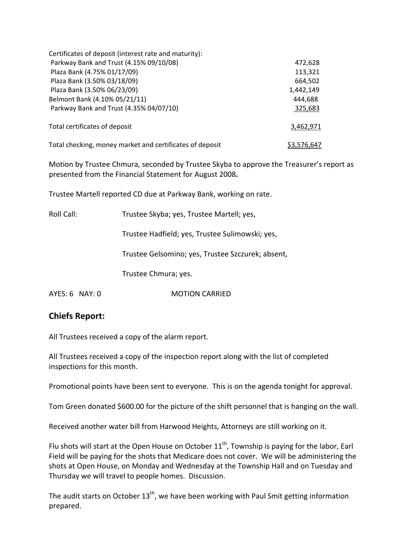| Certificates of deposit (interest rate and maturity):    |             |
|----------------------------------------------------------|-------------|
| Parkway Bank and Trust (4.15% 09/10/08)                  | 472,628     |
| Plaza Bank (4.75% 01/17/09)                              | 113,321     |
| Plaza Bank (3.50% 03/18/09)                              | 664,502     |
| Plaza Bank (3.50% 06/23/09)                              | 1,442,149   |
| Belmont Bank (4.10% 05/21/11)                            | 444,688     |
| Parkway Bank and Trust (4.35% 04/07/10)                  | 325,683     |
| Total certificates of deposit                            | 3,462,971   |
| Total checking, money market and certificates of deposit | \$3,576,647 |

Motion by Trustee Chmura, seconded by Trustee Skyba to approve the Treasurer's report as presented from the Financial Statement for August 2008**.**

Trustee Martell reported CD due at Parkway Bank, working on rate.

Roll Call: Trustee Skyba; yes, Trustee Martell; yes,

Trustee Hadfield; yes, Trustee Sulimowski; yes,

Trustee Gelsomino; yes, Trustee Szczurek; absent,

Trustee Chmura; yes.

AYES: 6 NAY: 0 MOTION CARRIED

### **Chiefs Report:**

All Trustees received a copy of the alarm report.

All Trustees received a copy of the inspection report along with the list of completed inspections for this month.

Promotional points have been sent to everyone. This is on the agenda tonight for approval.

Tom Green donated \$600.00 for the picture of the shift personnel that is hanging on the wall.

Received another water bill from Harwood Heights, Attorneys are still working on it.

Flu shots will start at the Open House on October 11<sup>th</sup>, Township is paying for the labor, Earl Field will be paying for the shots that Medicare does not cover. We will be administering the shots at Open House, on Monday and Wednesday at the Township Hall and on Tuesday and Thursday we will travel to people homes. Discussion.

The audit starts on October 13<sup>th</sup>, we have been working with Paul Smit getting information prepared.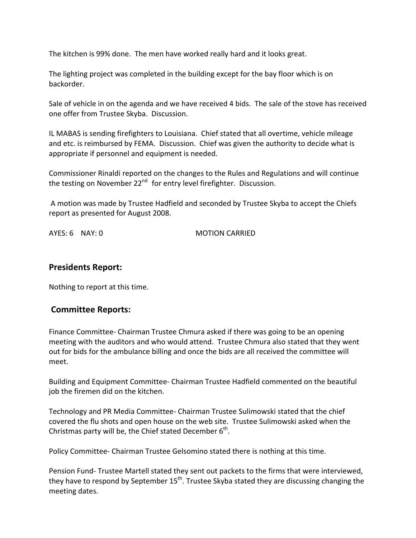The kitchen is 99% done. The men have worked really hard and it looks great.

The lighting project was completed in the building except for the bay floor which is on backorder.

Sale of vehicle in on the agenda and we have received 4 bids. The sale of the stove has received one offer from Trustee Skyba. Discussion.

IL MABAS is sending firefighters to Louisiana. Chief stated that all overtime, vehicle mileage and etc. is reimbursed by FEMA. Discussion. Chief was given the authority to decide what is appropriate if personnel and equipment is needed.

Commissioner Rinaldi reported on the changes to the Rules and Regulations and will continue the testing on November  $22^{nd}$  for entry level firefighter. Discussion.

A motion was made by Trustee Hadfield and seconded by Trustee Skyba to accept the Chiefs report as presented for August 2008.

AYES: 6 NAY: 0 MOTION CARRIED

### **Presidents Report:**

Nothing to report at this time.

# **Committee Reports:**

Finance Committee‐ Chairman Trustee Chmura asked if there was going to be an opening meeting with the auditors and who would attend. Trustee Chmura also stated that they went out for bids for the ambulance billing and once the bids are all received the committee will meet.

Building and Equipment Committee‐ Chairman Trustee Hadfield commented on the beautiful job the firemen did on the kitchen.

Technology and PR Media Committee‐ Chairman Trustee Sulimowski stated that the chief covered the flu shots and open house on the web site. Trustee Sulimowski asked when the Christmas party will be, the Chief stated December  $6^{\text{th}}$ .

Policy Committee‐ Chairman Trustee Gelsomino stated there is nothing at this time.

Pension Fund‐ Trustee Martell stated they sent out packets to the firms that were interviewed, they have to respond by September 15<sup>th</sup>. Trustee Skyba stated they are discussing changing the meeting dates.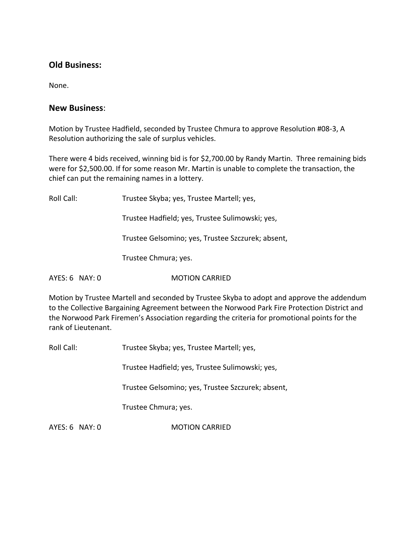# **Old Business:**

None.

## **New Business**:

Motion by Trustee Hadfield, seconded by Trustee Chmura to approve Resolution #08‐3, A Resolution authorizing the sale of surplus vehicles.

There were 4 bids received, winning bid is for \$2,700.00 by Randy Martin. Three remaining bids were for \$2,500.00. If for some reason Mr. Martin is unable to complete the transaction, the chief can put the remaining names in a lottery.

Roll Call: Trustee Skyba; yes, Trustee Martell; yes, Trustee Hadfield; yes, Trustee Sulimowski; yes, Trustee Gelsomino; yes, Trustee Szczurek; absent, Trustee Chmura; yes. AYES: 6 NAY: 0 MOTION CARRIED

Motion by Trustee Martell and seconded by Trustee Skyba to adopt and approve the addendum to the Collective Bargaining Agreement between the Norwood Park Fire Protection District and the Norwood Park Firemen's Association regarding the criteria for promotional points for the rank of Lieutenant.

Roll Call: Trustee Skyba; yes, Trustee Martell; yes,

Trustee Hadfield; yes, Trustee Sulimowski; yes,

Trustee Gelsomino; yes, Trustee Szczurek; absent,

Trustee Chmura; yes.

AYES: 6 NAY: 0 **MOTION CARRIED**